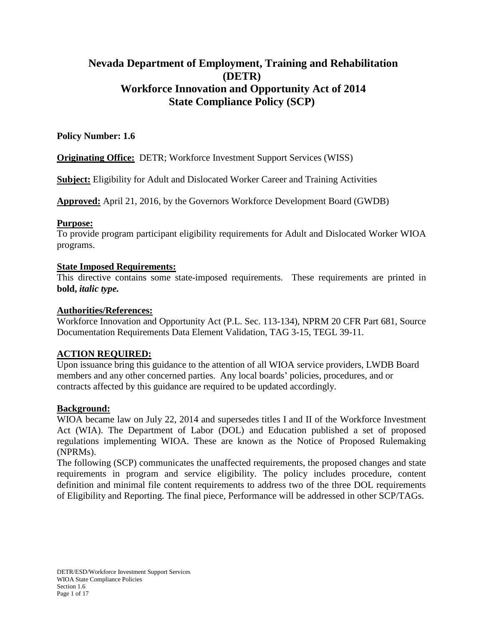# **Nevada Department of Employment, Training and Rehabilitation (DETR) Workforce Innovation and Opportunity Act of 2014 State Compliance Policy (SCP)**

### **Policy Number: 1.6**

**Originating Office:** DETR; Workforce Investment Support Services (WISS)

**Subject:** Eligibility for Adult and Dislocated Worker Career and Training Activities

**Approved:** April 21, 2016, by the Governors Workforce Development Board (GWDB)

#### **Purpose:**

To provide program participant eligibility requirements for Adult and Dislocated Worker WIOA programs.

#### **State Imposed Requirements:**

This directive contains some state-imposed requirements. These requirements are printed in **bold,** *italic type.*

### **Authorities/References:**

Workforce Innovation and Opportunity Act (P.L. Sec. 113-134), NPRM 20 CFR Part 681, Source Documentation Requirements Data Element Validation, TAG 3-15, TEGL 39-11.

### **ACTION REQUIRED:**

Upon issuance bring this guidance to the attention of all WIOA service providers, LWDB Board members and any other concerned parties. Any local boards' policies, procedures, and or contracts affected by this guidance are required to be updated accordingly.

#### **Background:**

WIOA became law on July 22, 2014 and supersedes titles I and II of the Workforce Investment Act (WIA). The Department of Labor (DOL) and Education published a set of proposed regulations implementing WIOA. These are known as the Notice of Proposed Rulemaking (NPRMs).

The following (SCP) communicates the unaffected requirements, the proposed changes and state requirements in program and service eligibility. The policy includes procedure, content definition and minimal file content requirements to address two of the three DOL requirements of Eligibility and Reporting. The final piece, Performance will be addressed in other SCP/TAGs.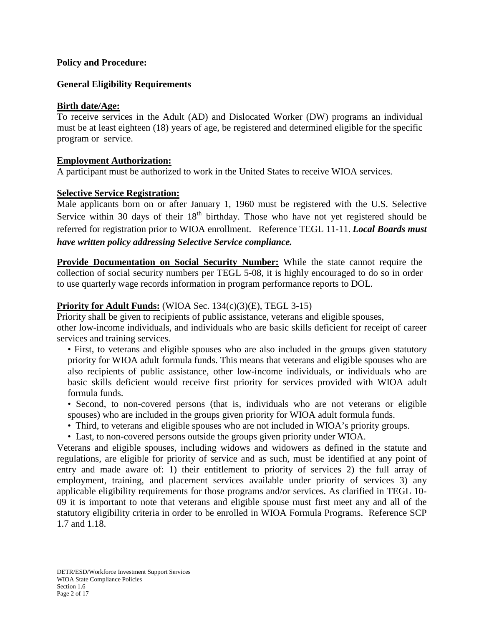#### **Policy and Procedure:**

#### **General Eligibility Requirements**

#### **Birth date/Age:**

To receive services in the Adult (AD) and Dislocated Worker (DW) programs an individual must be at least eighteen (18) years of age, be registered and determined eligible for the specific program or service.

#### **Employment Authorization:**

A participant must be authorized to work in the United States to receive WIOA services.

#### **Selective Service Registration:**

Male applicants born on or after January 1, 1960 must be registered with the U.S. Selective Service within 30 days of their  $18<sup>th</sup>$  birthday. Those who have not yet registered should be referred for registration prior to WIOA enrollment. Reference TEGL 11-11. *Local Boards must have written policy addressing Selective Service compliance.*

**Provide Documentation on Social Security Number:** While the state cannot require the collection of social security numbers per TEGL 5-08, it is highly encouraged to do so in order to use quarterly wage records information in program performance reports to DOL.

#### **Priority for Adult Funds:** (WIOA Sec. 134(c)(3)(E), TEGL 3-15)

Priority shall be given to recipients of public assistance, veterans and eligible spouses, other low-income individuals, and individuals who are basic skills deficient for receipt of career services and training services.

- First, to veterans and eligible spouses who are also included in the groups given statutory priority for WIOA adult formula funds. This means that veterans and eligible spouses who are also recipients of public assistance, other low-income individuals, or individuals who are basic skills deficient would receive first priority for services provided with WIOA adult formula funds.
- Second, to non-covered persons (that is, individuals who are not veterans or eligible spouses) who are included in the groups given priority for WIOA adult formula funds.
- Third, to veterans and eligible spouses who are not included in WIOA's priority groups.
- Last, to non-covered persons outside the groups given priority under WIOA.

Veterans and eligible spouses, including widows and widowers as defined in the statute and regulations, are eligible for priority of service and as such, must be identified at any point of entry and made aware of: 1) their entitlement to priority of services 2) the full array of employment, training, and placement services available under priority of services 3) any applicable eligibility requirements for those programs and/or services. As clarified in TEGL 10- 09 it is important to note that veterans and eligible spouse must first meet any and all of the statutory eligibility criteria in order to be enrolled in WIOA Formula Programs. Reference SCP 1.7 and 1.18.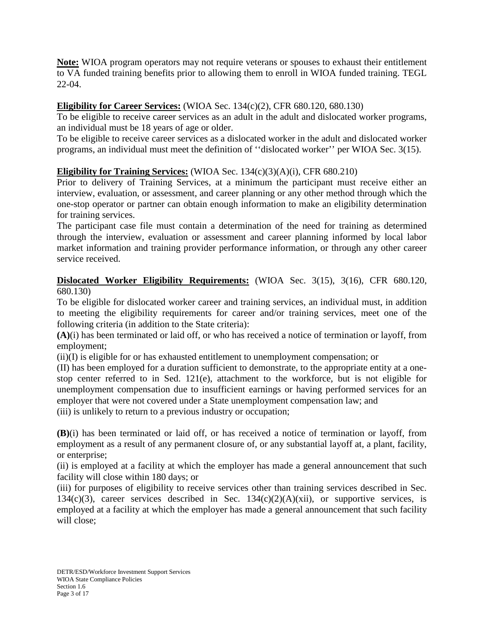**Note:** WIOA program operators may not require veterans or spouses to exhaust their entitlement to VA funded training benefits prior to allowing them to enroll in WIOA funded training. TEGL 22-04.

## **Eligibility for Career Services:** (WIOA Sec. 134(c)(2), CFR 680.120, 680.130)

To be eligible to receive career services as an adult in the adult and dislocated worker programs, an individual must be 18 years of age or older.

To be eligible to receive career services as a dislocated worker in the adult and dislocated worker programs, an individual must meet the definition of ''dislocated worker'' per WIOA Sec. 3(15).

## **Eligibility for Training Services:** (WIOA Sec. 134(c)(3)(A)(i), CFR 680.210)

Prior to delivery of Training Services, at a minimum the participant must receive either an interview, evaluation, or assessment, and career planning or any other method through which the one-stop operator or partner can obtain enough information to make an eligibility determination for training services.

The participant case file must contain a determination of the need for training as determined through the interview, evaluation or assessment and career planning informed by local labor market information and training provider performance information, or through any other career service received.

### **Dislocated Worker Eligibility Requirements:** (WIOA Sec. 3(15), 3(16), CFR 680.120, 680.130)

To be eligible for dislocated worker career and training services, an individual must, in addition to meeting the eligibility requirements for career and/or training services, meet one of the following criteria (in addition to the State criteria):

**(A)**(i) has been terminated or laid off, or who has received a notice of termination or layoff, from employment;

(ii)(I) is eligible for or has exhausted entitlement to unemployment compensation; or

(II) has been employed for a duration sufficient to demonstrate, to the appropriate entity at a onestop center referred to in Sed. 121(e), attachment to the workforce, but is not eligible for unemployment compensation due to insufficient earnings or having performed services for an employer that were not covered under a State unemployment compensation law; and

(iii) is unlikely to return to a previous industry or occupation;

**(B)**(i) has been terminated or laid off, or has received a notice of termination or layoff, from employment as a result of any permanent closure of, or any substantial layoff at, a plant, facility, or enterprise;

(ii) is employed at a facility at which the employer has made a general announcement that such facility will close within 180 days; or

(iii) for purposes of eligibility to receive services other than training services described in Sec. 134(c)(3), career services described in Sec.  $134(c)(2)(A)(xii)$ , or supportive services, is employed at a facility at which the employer has made a general announcement that such facility will close;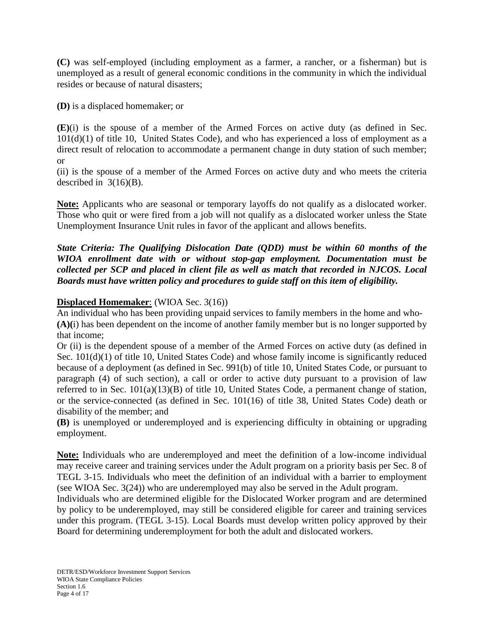**(C)** was self-employed (including employment as a farmer, a rancher, or a fisherman) but is unemployed as a result of general economic conditions in the community in which the individual resides or because of natural disasters;

**(D)** is a displaced homemaker; or

**(E)**(i) is the spouse of a member of the Armed Forces on active duty (as defined in Sec.  $101(d)(1)$  of title 10, United States Code), and who has experienced a loss of employment as a direct result of relocation to accommodate a permanent change in duty station of such member; or

(ii) is the spouse of a member of the Armed Forces on active duty and who meets the criteria described in  $3(16)(B)$ .

**Note:** Applicants who are seasonal or temporary layoffs do not qualify as a dislocated worker. Those who quit or were fired from a job will not qualify as a dislocated worker unless the State Unemployment Insurance Unit rules in favor of the applicant and allows benefits.

*State Criteria: The Qualifying Dislocation Date (QDD) must be within 60 months of the WIOA enrollment date with or without stop-gap employment. Documentation must be collected per SCP and placed in client file as well as match that recorded in NJCOS. Local Boards must have written policy and procedures to guide staff on this item of eligibility.*

## **Displaced Homemaker**: (WIOA Sec. 3(16))

An individual who has been providing unpaid services to family members in the home and who- **(A)(**i) has been dependent on the income of another family member but is no longer supported by that income;

Or (ii) is the dependent spouse of a member of the Armed Forces on active duty (as defined in Sec.  $101(d)(1)$  of title 10, United States Code) and whose family income is significantly reduced because of a deployment (as defined in Sec. 991(b) of title 10, United States Code, or pursuant to paragraph (4) of such section), a call or order to active duty pursuant to a provision of law referred to in Sec. 101(a)(13)(B) of title 10, United States Code, a permanent change of station, or the service-connected (as defined in Sec. 101(16) of title 38, United States Code) death or disability of the member; and

**(B)** is unemployed or underemployed and is experiencing difficulty in obtaining or upgrading employment.

**Note:** Individuals who are underemployed and meet the definition of a low-income individual may receive career and training services under the Adult program on a priority basis per Sec. 8 of TEGL 3-15. Individuals who meet the definition of an individual with a barrier to employment (see WIOA Sec. 3(24)) who are underemployed may also be served in the Adult program.

Individuals who are determined eligible for the Dislocated Worker program and are determined by policy to be underemployed, may still be considered eligible for career and training services under this program. (TEGL 3-15). Local Boards must develop written policy approved by their Board for determining underemployment for both the adult and dislocated workers.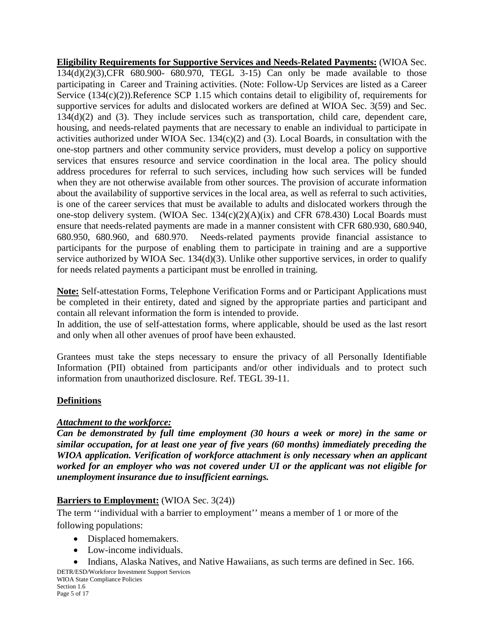**Eligibility Requirements for Supportive Services and Needs-Related Payments:** (WIOA Sec. 134(d)(2)(3),CFR 680.900- 680.970, TEGL 3-15) Can only be made available to those participating in Career and Training activities. (Note: Follow-Up Services are listed as a Career Service (134(c)(2)).Reference SCP 1.15 which contains detail to eligibility of, requirements for supportive services for adults and dislocated workers are defined at WIOA Sec. 3(59) and Sec. 134(d)(2) and (3). They include services such as transportation, child care, dependent care, housing, and needs-related payments that are necessary to enable an individual to participate in activities authorized under WIOA Sec. 134(c)(2) and (3). Local Boards, in consultation with the one-stop partners and other community service providers, must develop a policy on supportive services that ensures resource and service coordination in the local area. The policy should address procedures for referral to such services, including how such services will be funded when they are not otherwise available from other sources. The provision of accurate information about the availability of supportive services in the local area, as well as referral to such activities, is one of the career services that must be available to adults and dislocated workers through the one-stop delivery system. (WIOA Sec. 134(c)(2)(A)(ix) and CFR 678.430) Local Boards must ensure that needs-related payments are made in a manner consistent with CFR 680.930, 680.940, 680.950, 680.960, and 680.970. Needs-related payments provide financial assistance to participants for the purpose of enabling them to participate in training and are a supportive service authorized by WIOA Sec. 134(d)(3). Unlike other supportive services, in order to qualify for needs related payments a participant must be enrolled in training.

**Note:** Self-attestation Forms, Telephone Verification Forms and or Participant Applications must be completed in their entirety, dated and signed by the appropriate parties and participant and contain all relevant information the form is intended to provide.

In addition, the use of self-attestation forms, where applicable, should be used as the last resort and only when all other avenues of proof have been exhausted.

Grantees must take the steps necessary to ensure the privacy of all Personally Identifiable Information (PII) obtained from participants and/or other individuals and to protect such information from unauthorized disclosure. Ref. TEGL 39-11.

## **Definitions**

### *Attachment to the workforce:*

*Can be demonstrated by full time employment (30 hours a week or more) in the same or similar occupation, for at least one year of five years (60 months) immediately preceding the WIOA application. Verification of workforce attachment is only necessary when an applicant worked for an employer who was not covered under UI or the applicant was not eligible for unemployment insurance due to insufficient earnings.*

## **Barriers to Employment:** (WIOA Sec. 3(24))

The term ''individual with a barrier to employment'' means a member of 1 or more of the following populations:

- Displaced homemakers.
- Low-income individuals.
- Indians, Alaska Natives, and Native Hawaiians, as such terms are defined in Sec. 166.

DETR/ESD/Workforce Investment Support Services WIOA State Compliance Policies Section 1.6 Page 5 of 17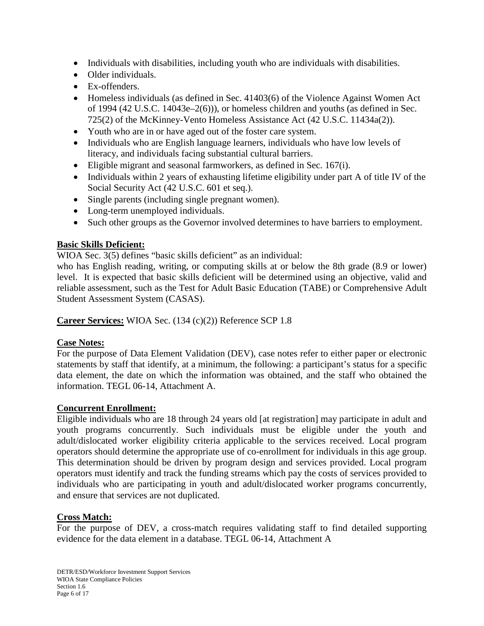- Individuals with disabilities, including youth who are individuals with disabilities.
- Older individuals.
- Ex-offenders.
- Homeless individuals (as defined in Sec. 41403(6) of the Violence Against Women Act of 1994 (42 U.S.C. 14043e–2(6))), or homeless children and youths (as defined in Sec. 725(2) of the McKinney-Vento Homeless Assistance Act (42 U.S.C. 11434a(2)).
- Youth who are in or have aged out of the foster care system.
- Individuals who are English language learners, individuals who have low levels of literacy, and individuals facing substantial cultural barriers.
- Eligible migrant and seasonal farmworkers, as defined in Sec. 167(i).
- Individuals within 2 years of exhausting lifetime eligibility under part A of title IV of the Social Security Act (42 U.S.C. 601 et seq.).
- Single parents (including single pregnant women).
- Long-term unemployed individuals.
- Such other groups as the Governor involved determines to have barriers to employment.

### **Basic Skills Deficient:**

WIOA Sec. 3(5) defines "basic skills deficient" as an individual:

who has English reading, writing, or computing skills at or below the 8th grade (8.9 or lower) level. It is expected that basic skills deficient will be determined using an objective, valid and reliable assessment, such as the Test for Adult Basic Education (TABE) or Comprehensive Adult Student Assessment System (CASAS).

**Career Services:** WIOA Sec. (134 (c)(2)) Reference SCP 1.8

### **Case Notes:**

For the purpose of Data Element Validation (DEV), case notes refer to either paper or electronic statements by staff that identify, at a minimum, the following: a participant's status for a specific data element, the date on which the information was obtained, and the staff who obtained the information. TEGL 06-14, Attachment A.

### **Concurrent Enrollment:**

Eligible individuals who are 18 through 24 years old [at registration] may participate in adult and youth programs concurrently. Such individuals must be eligible under the youth and adult/dislocated worker eligibility criteria applicable to the services received. Local program operators should determine the appropriate use of co-enrollment for individuals in this age group. This determination should be driven by program design and services provided. Local program operators must identify and track the funding streams which pay the costs of services provided to individuals who are participating in youth and adult/dislocated worker programs concurrently, and ensure that services are not duplicated.

### **Cross Match:**

For the purpose of DEV, a cross-match requires validating staff to find detailed supporting evidence for the data element in a database. TEGL 06-14, Attachment A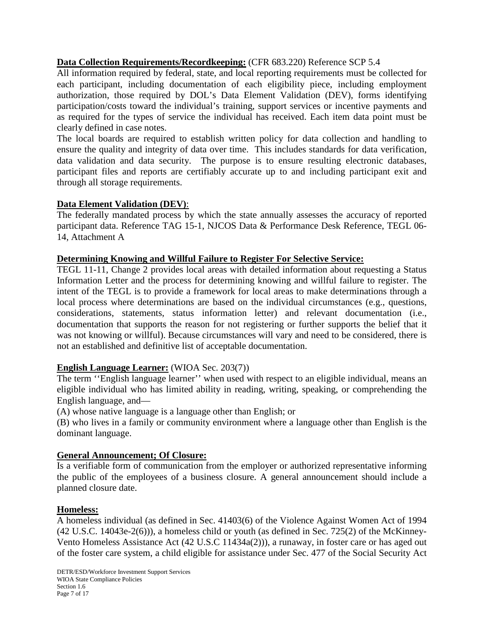## **Data Collection Requirements/Recordkeeping:** (CFR 683.220) Reference SCP 5.4

All information required by federal, state, and local reporting requirements must be collected for each participant, including documentation of each eligibility piece, including employment authorization, those required by DOL's Data Element Validation (DEV), forms identifying participation/costs toward the individual's training, support services or incentive payments and as required for the types of service the individual has received. Each item data point must be clearly defined in case notes.

The local boards are required to establish written policy for data collection and handling to ensure the quality and integrity of data over time. This includes standards for data verification, data validation and data security. The purpose is to ensure resulting electronic databases, participant files and reports are certifiably accurate up to and including participant exit and through all storage requirements.

## **Data Element Validation (DEV)**:

The federally mandated process by which the state annually assesses the accuracy of reported participant data. Reference TAG 15-1, NJCOS Data & Performance Desk Reference, TEGL 06- 14, Attachment A

### **Determining Knowing and Willful Failure to Register For Selective Service:**

TEGL 11-11, Change 2 provides local areas with detailed information about requesting a Status Information Letter and the process for determining knowing and willful failure to register. The intent of the TEGL is to provide a framework for local areas to make determinations through a local process where determinations are based on the individual circumstances (e.g., questions, considerations, statements, status information letter) and relevant documentation (i.e., documentation that supports the reason for not registering or further supports the belief that it was not knowing or willful). Because circumstances will vary and need to be considered, there is not an established and definitive list of acceptable documentation.

## **English Language Learner:** (WIOA Sec. 203(7))

The term ''English language learner'' when used with respect to an eligible individual, means an eligible individual who has limited ability in reading, writing, speaking, or comprehending the English language, and—

(A) whose native language is a language other than English; or

(B) who lives in a family or community environment where a language other than English is the dominant language.

### **General Announcement; Of Closure:**

Is a verifiable form of communication from the employer or authorized representative informing the public of the employees of a business closure. A general announcement should include a planned closure date.

### **Homeless:**

A homeless individual (as defined in Sec. 41403(6) of the Violence Against Women Act of 1994 (42 U.S.C. 14043e-2(6))), a homeless child or youth (as defined in Sec. 725(2) of the McKinney-Vento Homeless Assistance Act (42 U.S.C 11434a(2))), a runaway, in foster care or has aged out of the foster care system, a child eligible for assistance under Sec. 477 of the Social Security Act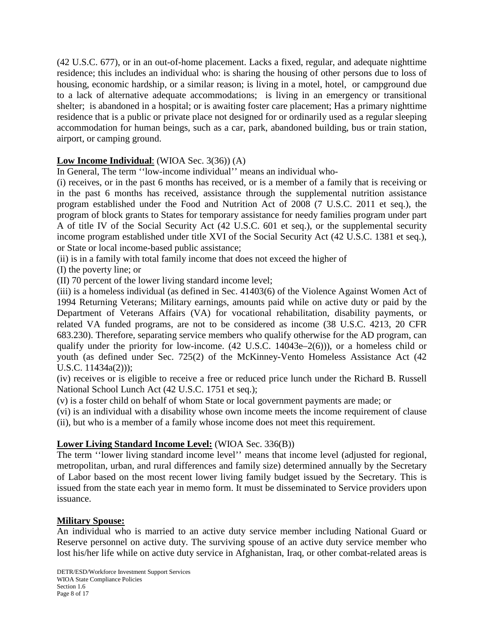(42 U.S.C. 677), or in an out-of-home placement. Lacks a fixed, regular, and adequate nighttime residence; this includes an individual who: is sharing the housing of other persons due to loss of housing, economic hardship, or a similar reason; is living in a motel, hotel, or campground due to a lack of alternative adequate accommodations; is living in an emergency or transitional shelter; is abandoned in a hospital; or is awaiting foster care placement; Has a primary nighttime residence that is a public or private place not designed for or ordinarily used as a regular sleeping accommodation for human beings, such as a car, park, abandoned building, bus or train station, airport, or camping ground.

## **Low Income Individual**: (WIOA Sec. 3(36)) (A)

In General, The term ''low-income individual'' means an individual who-

(i) receives, or in the past 6 months has received, or is a member of a family that is receiving or in the past 6 months has received, assistance through the supplemental nutrition assistance program established under the Food and Nutrition Act of 2008 (7 U.S.C. 2011 et seq.), the program of block grants to States for temporary assistance for needy families program under part A of title IV of the Social Security Act (42 U.S.C. 601 et seq.), or the supplemental security income program established under title XVI of the Social Security Act (42 U.S.C. 1381 et seq.), or State or local income-based public assistance;

(ii) is in a family with total family income that does not exceed the higher of

(I) the poverty line; or

(II) 70 percent of the lower living standard income level;

(iii) is a homeless individual (as defined in Sec. 41403(6) of the Violence Against Women Act of 1994 Returning Veterans; Military earnings, amounts paid while on active duty or paid by the Department of Veterans Affairs (VA) for vocational rehabilitation, disability payments, or related VA funded programs, are not to be considered as income (38 U.S.C. 4213, 20 CFR 683.230). Therefore, separating service members who qualify otherwise for the AD program, can qualify under the priority for low-income.  $(42 \text{ U.S.C. } 14043\text{e} - 2(6))$ , or a homeless child or youth (as defined under Sec. 725(2) of the McKinney-Vento Homeless Assistance Act (42 U.S.C. 11434a(2)));

(iv) receives or is eligible to receive a free or reduced price lunch under the Richard B. Russell National School Lunch Act (42 U.S.C. 1751 et seq.);

(v) is a foster child on behalf of whom State or local government payments are made; or

(vi) is an individual with a disability whose own income meets the income requirement of clause (ii), but who is a member of a family whose income does not meet this requirement.

### **Lower Living Standard Income Level:** (WIOA Sec. 336(B))

The term ''lower living standard income level'' means that income level (adjusted for regional, metropolitan, urban, and rural differences and family size) determined annually by the Secretary of Labor based on the most recent lower living family budget issued by the Secretary. This is issued from the state each year in memo form. It must be disseminated to Service providers upon issuance.

### **Military Spouse:**

An individual who is married to an active duty service member including National Guard or Reserve personnel on active duty. The surviving spouse of an active duty service member who lost his/her life while on active duty service in Afghanistan, Iraq, or other combat-related areas is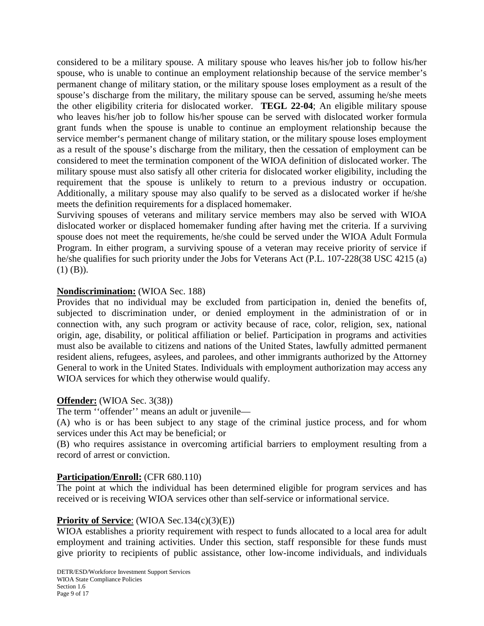considered to be a military spouse. A military spouse who leaves his/her job to follow his/her spouse, who is unable to continue an employment relationship because of the service member's permanent change of military station, or the military spouse loses employment as a result of the spouse's discharge from the military, the military spouse can be served, assuming he/she meets the other eligibility criteria for dislocated worker. **TEGL 22-04**; An eligible military spouse who leaves his/her job to follow his/her spouse can be served with dislocated worker formula grant funds when the spouse is unable to continue an employment relationship because the service member's permanent change of military station, or the military spouse loses employment as a result of the spouse's discharge from the military, then the cessation of employment can be considered to meet the termination component of the WIOA definition of dislocated worker. The military spouse must also satisfy all other criteria for dislocated worker eligibility, including the requirement that the spouse is unlikely to return to a previous industry or occupation. Additionally, a military spouse may also qualify to be served as a dislocated worker if he/she meets the definition requirements for a displaced homemaker.

Surviving spouses of veterans and military service members may also be served with WIOA dislocated worker or displaced homemaker funding after having met the criteria. If a surviving spouse does not meet the requirements, he/she could be served under the WIOA Adult Formula Program. In either program, a surviving spouse of a veteran may receive priority of service if he/she qualifies for such priority under the Jobs for Veterans Act (P.L. 107-228(38 USC 4215 (a)  $(1)$   $(B)$ ).

#### **Nondiscrimination:** (WIOA Sec. 188)

Provides that no individual may be excluded from participation in, denied the benefits of, subjected to discrimination under, or denied employment in the administration of or in connection with, any such program or activity because of race, color, religion, sex, national origin, age, disability, or political affiliation or belief. Participation in programs and activities must also be available to citizens and nations of the United States, lawfully admitted permanent resident aliens, refugees, asylees, and parolees, and other immigrants authorized by the Attorney General to work in the United States. Individuals with employment authorization may access any WIOA services for which they otherwise would qualify.

#### **Offender:** (WIOA Sec. 3(38))

The term ''offender'' means an adult or juvenile—

(A) who is or has been subject to any stage of the criminal justice process, and for whom services under this Act may be beneficial; or

(B) who requires assistance in overcoming artificial barriers to employment resulting from a record of arrest or conviction.

#### **Participation/Enroll:** (CFR 680.110)

The point at which the individual has been determined eligible for program services and has received or is receiving WIOA services other than self-service or informational service.

#### **Priority of Service**: (WIOA Sec.134(c)(3)(E))

WIOA establishes a priority requirement with respect to funds allocated to a local area for adult employment and training activities. Under this section, staff responsible for these funds must give priority to recipients of public assistance, other low-income individuals, and individuals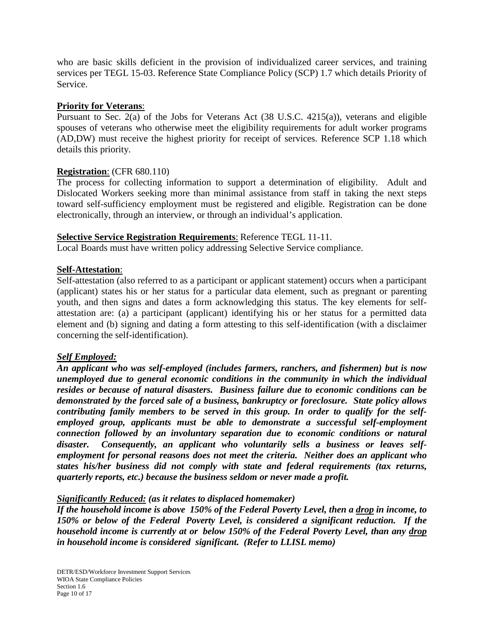who are basic skills deficient in the provision of individualized career services, and training services per TEGL 15-03. Reference State Compliance Policy (SCP) 1.7 which details Priority of Service.

#### **Priority for Veterans**:

Pursuant to Sec. 2(a) of the Jobs for Veterans Act (38 U.S.C. 4215(a)), veterans and eligible spouses of veterans who otherwise meet the eligibility requirements for adult worker programs (AD,DW) must receive the highest priority for receipt of services. Reference SCP 1.18 which details this priority.

#### **Registration**: (CFR 680.110)

The process for collecting information to support a determination of eligibility. Adult and Dislocated Workers seeking more than minimal assistance from staff in taking the next steps toward self-sufficiency employment must be registered and eligible. Registration can be done electronically, through an interview, or through an individual's application.

#### **Selective Service Registration Requirements**: Reference TEGL 11-11.

Local Boards must have written policy addressing Selective Service compliance.

#### **Self-Attestation**:

Self-attestation (also referred to as a participant or applicant statement) occurs when a participant (applicant) states his or her status for a particular data element, such as pregnant or parenting youth, and then signs and dates a form acknowledging this status. The key elements for selfattestation are: (a) a participant (applicant) identifying his or her status for a permitted data element and (b) signing and dating a form attesting to this self-identification (with a disclaimer concerning the self-identification).

### *Self Employed:*

*An applicant who was self-employed (includes farmers, ranchers, and fishermen) but is now unemployed due to general economic conditions in the community in which the individual resides or because of natural disasters. Business failure due to economic conditions can be demonstrated by the forced sale of a business, bankruptcy or foreclosure. State policy allows contributing family members to be served in this group. In order to qualify for the selfemployed group, applicants must be able to demonstrate a successful self-employment connection followed by an involuntary separation due to economic conditions or natural disaster. Consequently, an applicant who voluntarily sells a business or leaves selfemployment for personal reasons does not meet the criteria. Neither does an applicant who states his/her business did not comply with state and federal requirements (tax returns, quarterly reports, etc.) because the business seldom or never made a profit.*

#### *Significantly Reduced: (as it relates to displaced homemaker)*

*If the household income is above 150% of the Federal Poverty Level, then a drop in income, to 150% or below of the Federal Poverty Level, is considered a significant reduction. If the household income is currently at or below 150% of the Federal Poverty Level, than any drop in household income is considered significant. (Refer to LLISL memo)*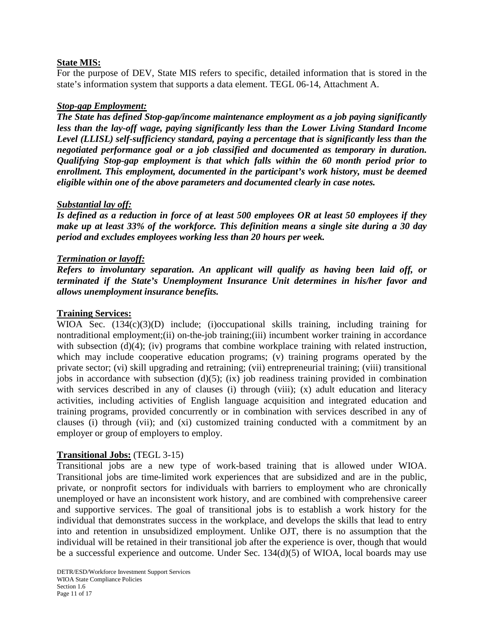#### **State MIS:**

For the purpose of DEV, State MIS refers to specific, detailed information that is stored in the state's information system that supports a data element. TEGL 06-14, Attachment A.

#### *Stop-gap Employment:*

*The State has defined Stop-gap/income maintenance employment as a job paying significantly less than the lay-off wage, paying significantly less than the Lower Living Standard Income Level (LLISL) self-sufficiency standard, paying a percentage that is significantly less than the negotiated performance goal or a job classified and documented as temporary in duration. Qualifying Stop-gap employment is that which falls within the 60 month period prior to enrollment. This employment, documented in the participant's work history, must be deemed eligible within one of the above parameters and documented clearly in case notes.* 

#### *Substantial lay off:*

*Is defined as a reduction in force of at least 500 employees OR at least 50 employees if they make up at least 33% of the workforce. This definition means a single site during a 30 day period and excludes employees working less than 20 hours per week.*

#### *Termination or layoff:*

*Refers to involuntary separation. An applicant will qualify as having been laid off, or terminated if the State's Unemployment Insurance Unit determines in his/her favor and allows unemployment insurance benefits.*

#### **Training Services:**

WIOA Sec.  $(134(c)(3)(D))$  include; (i)occupational skills training, including training for nontraditional employment;(ii) on-the-job training;(iii) incumbent worker training in accordance with subsection (d)(4); (iv) programs that combine workplace training with related instruction, which may include cooperative education programs; (v) training programs operated by the private sector; (vi) skill upgrading and retraining; (vii) entrepreneurial training; (viii) transitional jobs in accordance with subsection  $(d)(5)$ ; (ix) job readiness training provided in combination with services described in any of clauses (i) through (viii); (x) adult education and literacy activities, including activities of English language acquisition and integrated education and training programs, provided concurrently or in combination with services described in any of clauses (i) through (vii); and (xi) customized training conducted with a commitment by an employer or group of employers to employ.

#### **Transitional Jobs:** (TEGL 3-15)

Transitional jobs are a new type of work-based training that is allowed under WIOA. Transitional jobs are time-limited work experiences that are subsidized and are in the public, private, or nonprofit sectors for individuals with barriers to employment who are chronically unemployed or have an inconsistent work history, and are combined with comprehensive career and supportive services. The goal of transitional jobs is to establish a work history for the individual that demonstrates success in the workplace, and develops the skills that lead to entry into and retention in unsubsidized employment. Unlike OJT, there is no assumption that the individual will be retained in their transitional job after the experience is over, though that would be a successful experience and outcome. Under Sec. 134(d)(5) of WIOA, local boards may use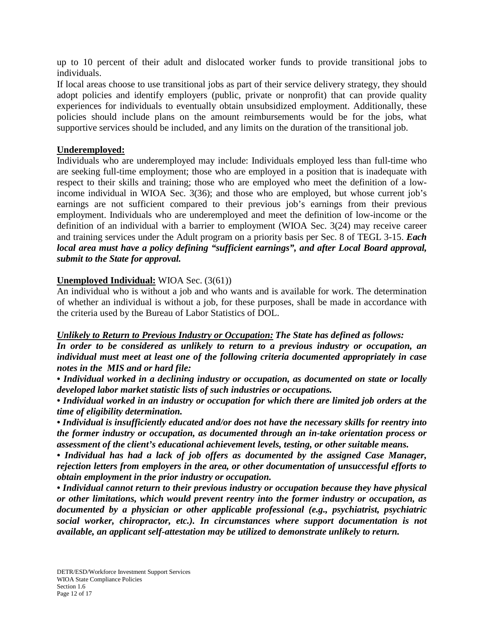up to 10 percent of their adult and dislocated worker funds to provide transitional jobs to individuals.

If local areas choose to use transitional jobs as part of their service delivery strategy, they should adopt policies and identify employers (public, private or nonprofit) that can provide quality experiences for individuals to eventually obtain unsubsidized employment. Additionally, these policies should include plans on the amount reimbursements would be for the jobs, what supportive services should be included, and any limits on the duration of the transitional job.

#### **Underemployed:**

Individuals who are underemployed may include: Individuals employed less than full-time who are seeking full-time employment; those who are employed in a position that is inadequate with respect to their skills and training; those who are employed who meet the definition of a lowincome individual in WIOA Sec. 3(36); and those who are employed, but whose current job's earnings are not sufficient compared to their previous job's earnings from their previous employment. Individuals who are underemployed and meet the definition of low-income or the definition of an individual with a barrier to employment (WIOA Sec. 3(24) may receive career and training services under the Adult program on a priority basis per Sec. 8 of TEGL 3-15. *Each local area must have a policy defining "sufficient earnings", and after Local Board approval, submit to the State for approval.*

### **Unemployed Individual:** WIOA Sec. (3(61))

An individual who is without a job and who wants and is available for work. The determination of whether an individual is without a job, for these purposes, shall be made in accordance with the criteria used by the Bureau of Labor Statistics of DOL.

#### *Unlikely to Return to Previous Industry or Occupation: The State has defined as follows:*

*In order to be considered as unlikely to return to a previous industry or occupation, an individual must meet at least one of the following criteria documented appropriately in case notes in the MIS and or hard file:*

*• Individual worked in a declining industry or occupation, as documented on state or locally developed labor market statistic lists of such industries or occupations.* 

*• Individual worked in an industry or occupation for which there are limited job orders at the time of eligibility determination.*

*• Individual is insufficiently educated and/or does not have the necessary skills for reentry into the former industry or occupation, as documented through an in-take orientation process or assessment of the client's educational achievement levels, testing, or other suitable means.*

*• Individual has had a lack of job offers as documented by the assigned Case Manager, rejection letters from employers in the area, or other documentation of unsuccessful efforts to obtain employment in the prior industry or occupation.*

*• Individual cannot return to their previous industry or occupation because they have physical or other limitations, which would prevent reentry into the former industry or occupation, as documented by a physician or other applicable professional (e.g., psychiatrist, psychiatric social worker, chiropractor, etc.). In circumstances where support documentation is not available, an applicant self-attestation may be utilized to demonstrate unlikely to return.*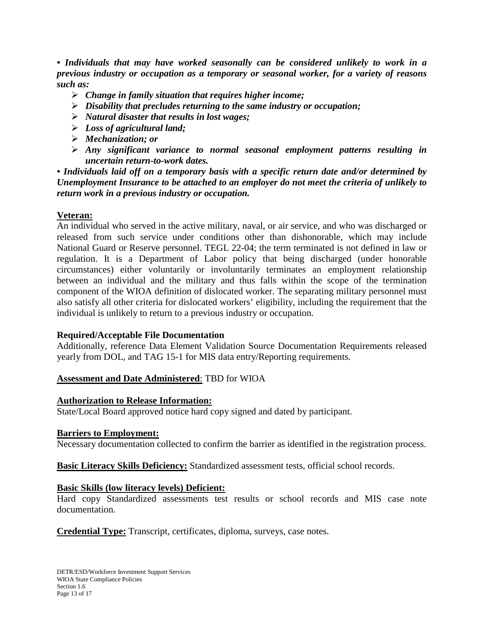*• Individuals that may have worked seasonally can be considered unlikely to work in a previous industry or occupation as a temporary or seasonal worker, for a variety of reasons such as:*

- *Change in family situation that requires higher income;*
- *Disability that precludes returning to the same industry or occupation;*
- *Natural disaster that results in lost wages;*
- *Loss of agricultural land;*
- *Mechanization; or*
- *Any significant variance to normal seasonal employment patterns resulting in uncertain return-to-work dates.*

*• Individuals laid off on a temporary basis with a specific return date and/or determined by Unemployment Insurance to be attached to an employer do not meet the criteria of unlikely to return work in a previous industry or occupation.*

## **Veteran:**

An individual who served in the active military, naval, or air service, and who was discharged or released from such service under conditions other than dishonorable, which may include National Guard or Reserve personnel. TEGL 22-04; the term terminated is not defined in law or regulation. It is a Department of Labor policy that being discharged (under honorable circumstances) either voluntarily or involuntarily terminates an employment relationship between an individual and the military and thus falls within the scope of the termination component of the WIOA definition of dislocated worker. The separating military personnel must also satisfy all other criteria for dislocated workers' eligibility, including the requirement that the individual is unlikely to return to a previous industry or occupation.

### **Required/Acceptable File Documentation**

Additionally, reference Data Element Validation Source Documentation Requirements released yearly from DOL, and TAG 15-1 for MIS data entry/Reporting requirements.

### **Assessment and Date Administered**: TBD for WIOA

### **Authorization to Release Information:**

State/Local Board approved notice hard copy signed and dated by participant.

### **Barriers to Employment:**

Necessary documentation collected to confirm the barrier as identified in the registration process.

**Basic Literacy Skills Deficiency:** Standardized assessment tests, official school records.

### **Basic Skills (low literacy levels) Deficient:**

Hard copy Standardized assessments test results or school records and MIS case note documentation.

**Credential Type:** Transcript, certificates, diploma, surveys, case notes.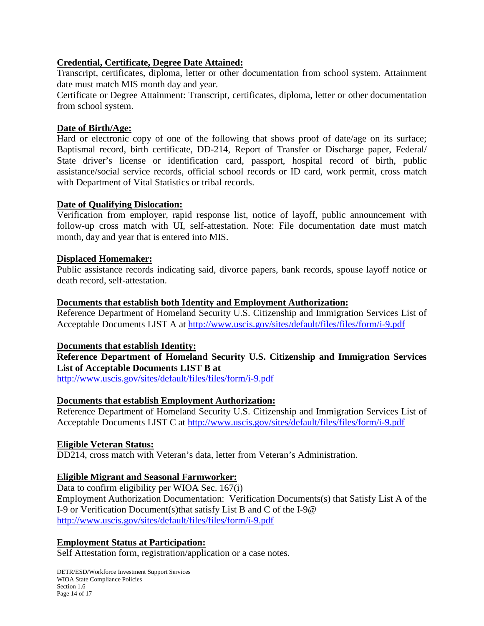### **Credential, Certificate, Degree Date Attained:**

Transcript, certificates, diploma, letter or other documentation from school system. Attainment date must match MIS month day and year.

Certificate or Degree Attainment: Transcript, certificates, diploma, letter or other documentation from school system.

### **Date of Birth/Age:**

Hard or electronic copy of one of the following that shows proof of date/age on its surface; Baptismal record, birth certificate, DD-214, Report of Transfer or Discharge paper, Federal/ State driver's license or identification card, passport, hospital record of birth, public assistance/social service records, official school records or ID card, work permit, cross match with Department of Vital Statistics or tribal records.

#### **Date of Qualifying Dislocation:**

Verification from employer, rapid response list, notice of layoff, public announcement with follow-up cross match with UI, self-attestation. Note: File documentation date must match month, day and year that is entered into MIS.

#### **Displaced Homemaker:**

Public assistance records indicating said, divorce papers, bank records, spouse layoff notice or death record, self-attestation.

#### **Documents that establish both Identity and Employment Authorization:**

Reference Department of Homeland Security U.S. Citizenship and Immigration Services List of Acceptable Documents LIST A at<http://www.uscis.gov/sites/default/files/files/form/i-9.pdf>

#### **Documents that establish Identity:**

### **Reference Department of Homeland Security U.S. Citizenship and Immigration Services List of Acceptable Documents LIST B at**

<http://www.uscis.gov/sites/default/files/files/form/i-9.pdf>

### **Documents that establish Employment Authorization:**

Reference Department of Homeland Security U.S. Citizenship and Immigration Services List of Acceptable Documents LIST C at<http://www.uscis.gov/sites/default/files/files/form/i-9.pdf>

#### **Eligible Veteran Status:**

DD214, cross match with Veteran's data, letter from Veteran's Administration.

### **Eligible Migrant and Seasonal Farmworker:**

Data to confirm eligibility per WIOA Sec. 167(i) Employment Authorization Documentation: Verification Documents(s) that Satisfy List A of the I-9 or Verification Document(s)that satisfy List B and C of the I-9@ <http://www.uscis.gov/sites/default/files/files/form/i-9.pdf>

### **Employment Status at Participation:**

Self Attestation form, registration/application or a case notes.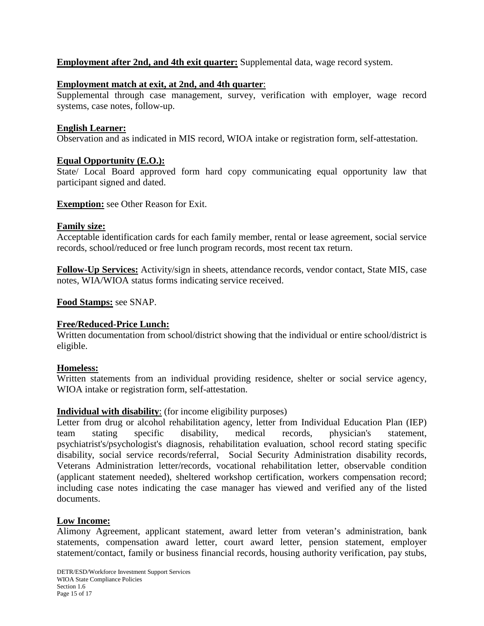### **Employment after 2nd, and 4th exit quarter:** Supplemental data, wage record system.

#### **Employment match at exit, at 2nd, and 4th quarter**:

Supplemental through case management, survey, verification with employer, wage record systems, case notes, follow-up.

#### **English Learner:**

Observation and as indicated in MIS record, WIOA intake or registration form, self-attestation.

#### **Equal Opportunity (E.O.):**

State/ Local Board approved form hard copy communicating equal opportunity law that participant signed and dated.

**Exemption:** see Other Reason for Exit.

#### **Family size:**

Acceptable identification cards for each family member, rental or lease agreement, social service records, school/reduced or free lunch program records, most recent tax return.

**Follow-Up Services:** Activity/sign in sheets, attendance records, vendor contact, State MIS, case notes, WIA/WIOA status forms indicating service received.

#### **Food Stamps:** see SNAP.

### **Free/Reduced-Price Lunch:**

Written documentation from school/district showing that the individual or entire school/district is eligible.

#### **Homeless:**

Written statements from an individual providing residence, shelter or social service agency, WIOA intake or registration form, self-attestation.

#### **Individual with disability**: (for income eligibility purposes)

Letter from drug or alcohol rehabilitation agency, letter from Individual Education Plan (IEP) team stating specific disability, medical records, physician's statement, psychiatrist's/psychologist's diagnosis, rehabilitation evaluation, school record stating specific disability, social service records/referral, Social Security Administration disability records, Veterans Administration letter/records, vocational rehabilitation letter, observable condition (applicant statement needed), sheltered workshop certification, workers compensation record; including case notes indicating the case manager has viewed and verified any of the listed documents.

#### **Low Income:**

Alimony Agreement, applicant statement, award letter from veteran's administration, bank statements, compensation award letter, court award letter, pension statement, employer statement/contact, family or business financial records, housing authority verification, pay stubs,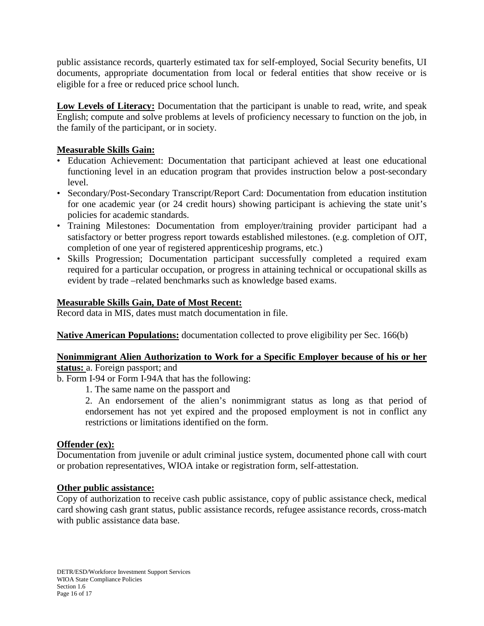public assistance records, quarterly estimated tax for self-employed, Social Security benefits, UI documents, appropriate documentation from local or federal entities that show receive or is eligible for a free or reduced price school lunch.

**Low Levels of Literacy:** Documentation that the participant is unable to read, write, and speak English; compute and solve problems at levels of proficiency necessary to function on the job, in the family of the participant, or in society.

## **Measurable Skills Gain:**

- Education Achievement: Documentation that participant achieved at least one educational functioning level in an education program that provides instruction below a post-secondary level.
- Secondary/Post-Secondary Transcript/Report Card: Documentation from education institution for one academic year (or 24 credit hours) showing participant is achieving the state unit's policies for academic standards.
- Training Milestones: Documentation from employer/training provider participant had a satisfactory or better progress report towards established milestones. (e.g. completion of OJT, completion of one year of registered apprenticeship programs, etc.)
- Skills Progression; Documentation participant successfully completed a required exam required for a particular occupation, or progress in attaining technical or occupational skills as evident by trade –related benchmarks such as knowledge based exams.

## **Measurable Skills Gain, Date of Most Recent:**

Record data in MIS, dates must match documentation in file.

**Native American Populations:** documentation collected to prove eligibility per Sec. 166(b)

#### **Nonimmigrant Alien Authorization to Work for a Specific Employer because of his or her status:** a. Foreign passport; and

b. Form I-94 or Form I-94A that has the following:

1. The same name on the passport and

2. An endorsement of the alien's nonimmigrant status as long as that period of endorsement has not yet expired and the proposed employment is not in conflict any restrictions or limitations identified on the form.

### **Offender (ex):**

Documentation from juvenile or adult criminal justice system, documented phone call with court or probation representatives, WIOA intake or registration form, self-attestation.

### **Other public assistance:**

Copy of authorization to receive cash public assistance, copy of public assistance check, medical card showing cash grant status, public assistance records, refugee assistance records, cross-match with public assistance data base.